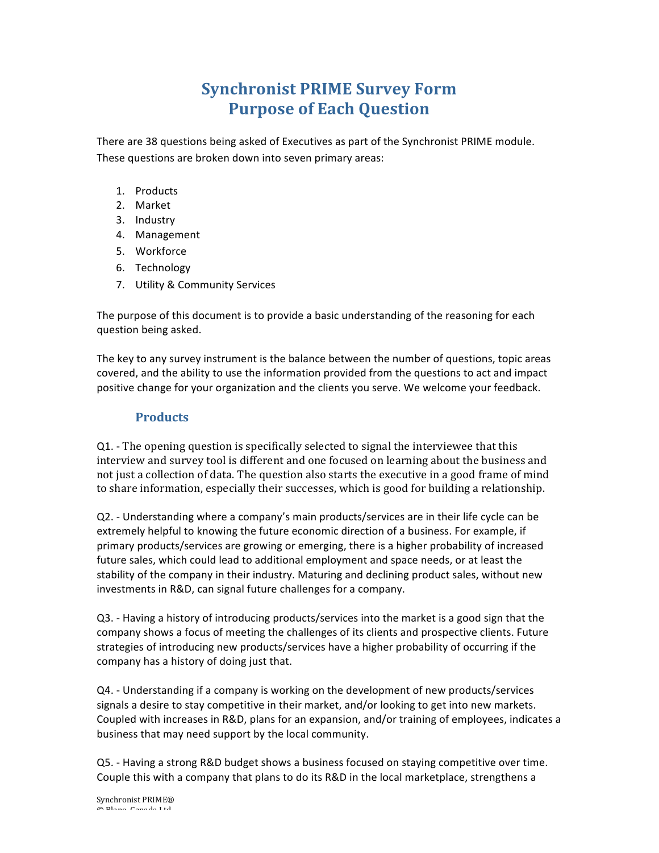# **Synchronist PRIME Survey Form Purpose of Each Question**

There are 38 questions being asked of Executives as part of the Synchronist PRIME module. These questions are broken down into seven primary areas:

- 1. Products
- 2. Market
- 3. Industry
- 4. Management
- 5. Workforce
- 6. Technology
- 7. Utility & Community Services

The purpose of this document is to provide a basic understanding of the reasoning for each question being asked.

The key to any survey instrument is the balance between the number of questions, topic areas covered, and the ability to use the information provided from the questions to act and impact positive change for your organization and the clients you serve. We welcome your feedback.

#### **Products**

Q1. - The opening question is specifically selected to signal the interviewee that this interview and survey tool is different and one focused on learning about the business and not just a collection of data. The question also starts the executive in a good frame of mind to share information, especially their successes, which is good for building a relationship.

 $Q2.$  - Understanding where a company's main products/services are in their life cycle can be extremely helpful to knowing the future economic direction of a business. For example, if primary products/services are growing or emerging, there is a higher probability of increased future sales, which could lead to additional employment and space needs, or at least the stability of the company in their industry. Maturing and declining product sales, without new investments in R&D, can signal future challenges for a company.

Q3. - Having a history of introducing products/services into the market is a good sign that the company shows a focus of meeting the challenges of its clients and prospective clients. Future strategies of introducing new products/services have a higher probability of occurring if the company has a history of doing just that.

 $Q4.$  - Understanding if a company is working on the development of new products/services signals a desire to stay competitive in their market, and/or looking to get into new markets. Coupled with increases in R&D, plans for an expansion, and/or training of employees, indicates a business that may need support by the local community.

Q5. - Having a strong R&D budget shows a business focused on staying competitive over time. Couple this with a company that plans to do its R&D in the local marketplace, strengthens a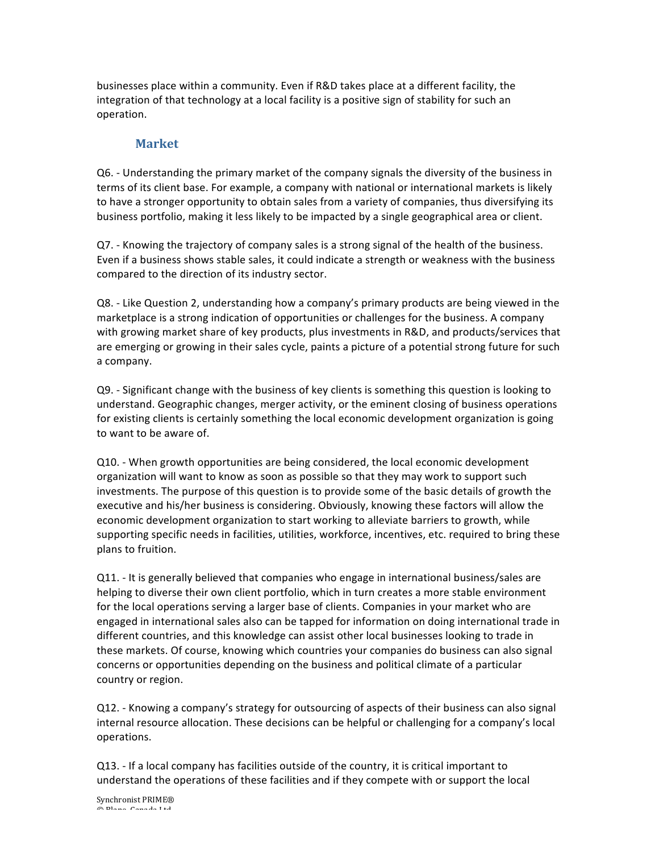businesses place within a community. Even if R&D takes place at a different facility, the integration of that technology at a local facility is a positive sign of stability for such an operation.

#### **Market**

Q6. - Understanding the primary market of the company signals the diversity of the business in terms of its client base. For example, a company with national or international markets is likely to have a stronger opportunity to obtain sales from a variety of companies, thus diversifying its business portfolio, making it less likely to be impacted by a single geographical area or client.

Q7. - Knowing the trajectory of company sales is a strong signal of the health of the business. Even if a business shows stable sales, it could indicate a strength or weakness with the business compared to the direction of its industry sector.

Q8. - Like Question 2, understanding how a company's primary products are being viewed in the marketplace is a strong indication of opportunities or challenges for the business. A company with growing market share of key products, plus investments in R&D, and products/services that are emerging or growing in their sales cycle, paints a picture of a potential strong future for such a company.

Q9. - Significant change with the business of key clients is something this question is looking to understand. Geographic changes, merger activity, or the eminent closing of business operations for existing clients is certainly something the local economic development organization is going to want to be aware of.

Q10. - When growth opportunities are being considered, the local economic development organization will want to know as soon as possible so that they may work to support such investments. The purpose of this question is to provide some of the basic details of growth the executive and his/her business is considering. Obviously, knowing these factors will allow the economic development organization to start working to alleviate barriers to growth, while supporting specific needs in facilities, utilities, workforce, incentives, etc. required to bring these plans to fruition.

Q11. - It is generally believed that companies who engage in international business/sales are helping to diverse their own client portfolio, which in turn creates a more stable environment for the local operations serving a larger base of clients. Companies in your market who are engaged in international sales also can be tapped for information on doing international trade in different countries, and this knowledge can assist other local businesses looking to trade in these markets. Of course, knowing which countries your companies do business can also signal concerns or opportunities depending on the business and political climate of a particular country or region.

Q12. - Knowing a company's strategy for outsourcing of aspects of their business can also signal internal resource allocation. These decisions can be helpful or challenging for a company's local operations.

Q13. - If a local company has facilities outside of the country, it is critical important to understand the operations of these facilities and if they compete with or support the local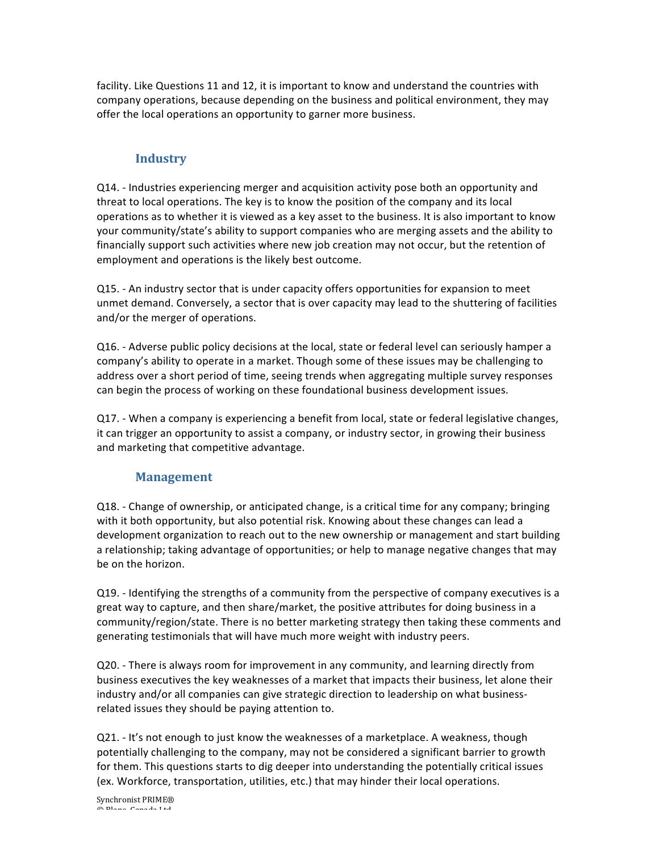facility. Like Questions 11 and 12, it is important to know and understand the countries with company operations, because depending on the business and political environment, they may offer the local operations an opportunity to garner more business.

## **Industry**

Q14. - Industries experiencing merger and acquisition activity pose both an opportunity and threat to local operations. The key is to know the position of the company and its local operations as to whether it is viewed as a key asset to the business. It is also important to know your community/state's ability to support companies who are merging assets and the ability to financially support such activities where new job creation may not occur, but the retention of employment and operations is the likely best outcome.

Q15. - An industry sector that is under capacity offers opportunities for expansion to meet unmet demand. Conversely, a sector that is over capacity may lead to the shuttering of facilities and/or the merger of operations.

Q16. - Adverse public policy decisions at the local, state or federal level can seriously hamper a company's ability to operate in a market. Though some of these issues may be challenging to address over a short period of time, seeing trends when aggregating multiple survey responses can begin the process of working on these foundational business development issues.

Q17. - When a company is experiencing a benefit from local, state or federal legislative changes, it can trigger an opportunity to assist a company, or industry sector, in growing their business and marketing that competitive advantage.

### **Management**

Q18. - Change of ownership, or anticipated change, is a critical time for any company; bringing with it both opportunity, but also potential risk. Knowing about these changes can lead a development organization to reach out to the new ownership or management and start building a relationship; taking advantage of opportunities; or help to manage negative changes that may be on the horizon.

Q19. - Identifying the strengths of a community from the perspective of company executives is a great way to capture, and then share/market, the positive attributes for doing business in a community/region/state. There is no better marketing strategy then taking these comments and generating testimonials that will have much more weight with industry peers.

Q20. - There is always room for improvement in any community, and learning directly from business executives the key weaknesses of a market that impacts their business, let alone their industry and/or all companies can give strategic direction to leadership on what businessrelated issues they should be paying attention to.

Q21. - It's not enough to just know the weaknesses of a marketplace. A weakness, though potentially challenging to the company, may not be considered a significant barrier to growth for them. This questions starts to dig deeper into understanding the potentially critical issues (ex. Workforce, transportation, utilities, etc.) that may hinder their local operations.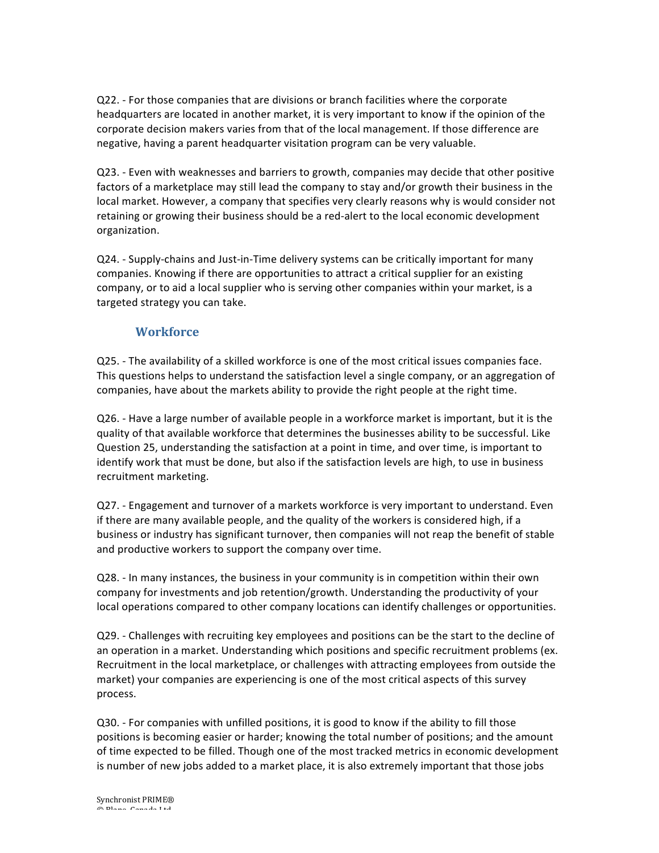Q22. - For those companies that are divisions or branch facilities where the corporate headquarters are located in another market, it is very important to know if the opinion of the corporate decision makers varies from that of the local management. If those difference are negative, having a parent headquarter visitation program can be very valuable.

Q23. - Even with weaknesses and barriers to growth, companies may decide that other positive factors of a marketplace may still lead the company to stay and/or growth their business in the local market. However, a company that specifies very clearly reasons why is would consider not retaining or growing their business should be a red-alert to the local economic development organization.

Q24. - Supply-chains and Just-in-Time delivery systems can be critically important for many companies. Knowing if there are opportunities to attract a critical supplier for an existing company, or to aid a local supplier who is serving other companies within your market, is a targeted strategy you can take.

#### **Workforce**

Q25. - The availability of a skilled workforce is one of the most critical issues companies face. This questions helps to understand the satisfaction level a single company, or an aggregation of companies, have about the markets ability to provide the right people at the right time.

Q26. - Have a large number of available people in a workforce market is important, but it is the quality of that available workforce that determines the businesses ability to be successful. Like Question 25, understanding the satisfaction at a point in time, and over time, is important to identify work that must be done, but also if the satisfaction levels are high, to use in business recruitment marketing.

Q27. - Engagement and turnover of a markets workforce is very important to understand. Even if there are many available people, and the quality of the workers is considered high, if a business or industry has significant turnover, then companies will not reap the benefit of stable and productive workers to support the company over time.

Q28. - In many instances, the business in your community is in competition within their own company for investments and job retention/growth. Understanding the productivity of your local operations compared to other company locations can identify challenges or opportunities.

Q29. - Challenges with recruiting key employees and positions can be the start to the decline of an operation in a market. Understanding which positions and specific recruitment problems (ex. Recruitment in the local marketplace, or challenges with attracting employees from outside the market) your companies are experiencing is one of the most critical aspects of this survey process.

Q30. - For companies with unfilled positions, it is good to know if the ability to fill those positions is becoming easier or harder; knowing the total number of positions; and the amount of time expected to be filled. Though one of the most tracked metrics in economic development is number of new jobs added to a market place, it is also extremely important that those jobs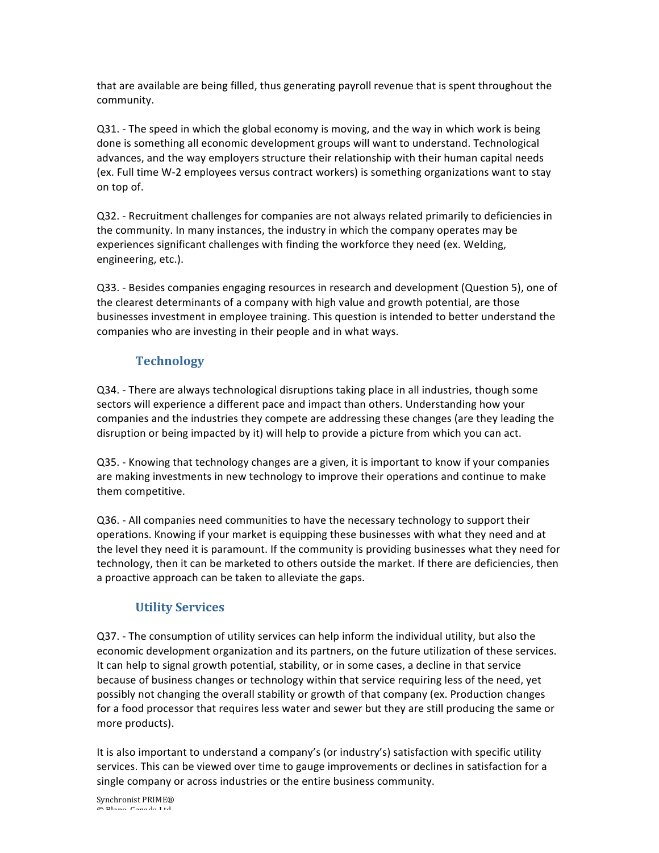that are available are being filled, thus generating payroll revenue that is spent throughout the community.

Q31. - The speed in which the global economy is moving, and the way in which work is being done is something all economic development groups will want to understand. Technological advances, and the way employers structure their relationship with their human capital needs (ex. Full time W-2 employees versus contract workers) is something organizations want to stay on top of.

Q32. - Recruitment challenges for companies are not always related primarily to deficiencies in the community. In many instances, the industry in which the company operates may be experiences significant challenges with finding the workforce they need (ex. Welding, engineering, etc.).

Q33. - Besides companies engaging resources in research and development (Question 5), one of the clearest determinants of a company with high value and growth potential, are those businesses investment in employee training. This question is intended to better understand the companies who are investing in their people and in what ways.

#### **Technology**

Q34. - There are always technological disruptions taking place in all industries, though some sectors will experience a different pace and impact than others. Understanding how your companies and the industries they compete are addressing these changes (are they leading the disruption or being impacted by it) will help to provide a picture from which you can act.

Q35. - Knowing that technology changes are a given, it is important to know if your companies are making investments in new technology to improve their operations and continue to make them competitive.

Q36. - All companies need communities to have the necessary technology to support their operations. Knowing if your market is equipping these businesses with what they need and at the level they need it is paramount. If the community is providing businesses what they need for technology, then it can be marketed to others outside the market. If there are deficiencies, then a proactive approach can be taken to alleviate the gaps.

#### **Utility Services**

Q37. - The consumption of utility services can help inform the individual utility, but also the economic development organization and its partners, on the future utilization of these services. It can help to signal growth potential, stability, or in some cases, a decline in that service because of business changes or technology within that service requiring less of the need, yet possibly not changing the overall stability or growth of that company (ex. Production changes for a food processor that requires less water and sewer but they are still producing the same or more products).

It is also important to understand a company's (or industry's) satisfaction with specific utility services. This can be viewed over time to gauge improvements or declines in satisfaction for a single company or across industries or the entire business community.

Synchronist PRIME® © Blane, Canada Ltd.